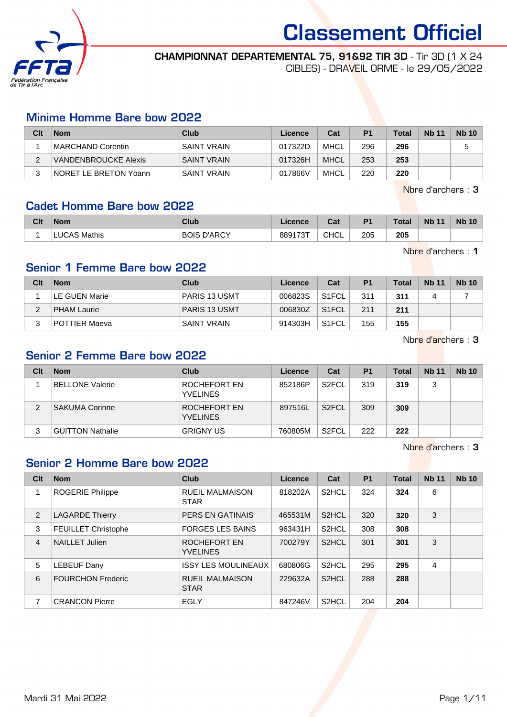

### CHAMPIONNAT DEPARTEMENTAL 75, 91&92 TIR 3D - Tir 3D (1 X 24

CIBLES) - DRAVEIL ORME - le 29/05/2022

### Minime Homme Bare bow 2022

| Clt | <b>Nom</b>            | Club               | Licence | Cat         | P <sub>1</sub> | Total | <b>Nb 11</b> | <b>Nb 10</b> |
|-----|-----------------------|--------------------|---------|-------------|----------------|-------|--------------|--------------|
|     | MARCHAND Corentin     | SAINT VRAIN        | 017322D | MHCL        | 296            | 296   |              |              |
|     | VANDENBROUCKE Alexis  | SAINT VRAIN        | 017326H | <b>MHCL</b> | 253            | 253   |              |              |
|     | NORET LE BRETON Yoann | <b>SAINT VRAIN</b> | 017866V | MHCL        | 220            | 220   |              |              |

Nbre d'archers : 3

### Cadet Homme Bare bow 2022

| Clt | <b>Nom</b>          | Club                  | Licence | ◠⌒▴<br>ual  | D <sub>1</sub> | Total | <b>N<sub>b</sub></b><br>- 4 к | <b>N<sub>b</sub></b><br>10 |
|-----|---------------------|-----------------------|---------|-------------|----------------|-------|-------------------------------|----------------------------|
|     | <b>LUCAS Mathis</b> | D'ARCY<br><b>BOIS</b> | 889173T | <b>CHCL</b> | 205            | 205   |                               |                            |

Nbre d'archers : 1

### Senior 1 Femme Bare bow 2022

| Clt | <b>Nom</b>            | Club                 | Licence | Cat                | P <sub>1</sub> | <b>Total</b> | <b>Nb 11</b> | <b>Nb 10</b> |
|-----|-----------------------|----------------------|---------|--------------------|----------------|--------------|--------------|--------------|
|     | <b>ILE GUEN Marie</b> | <b>PARIS 13 USMT</b> | 006823S | S <sub>1</sub> FCL | 311            | 311          |              |              |
| ົ   | <b>PHAM Laurie</b>    | <b>PARIS 13 USMT</b> | 006830Z | S <sub>1</sub> FCL | 211            | 211          |              |              |
|     | POTTIER Maeva         | 'SAINT VRAIN         | 914303H | S <sub>1</sub> FCL | 155            | 155          |              |              |

Nbre d'archers : 3

### Senior 2 Femme Bare bow 2022

| Clt | <b>Nom</b>              | Club                            | Licence | Cat                | P <sub>1</sub> | <b>Total</b> | <b>Nb 11</b> | <b>Nb 10</b> |
|-----|-------------------------|---------------------------------|---------|--------------------|----------------|--------------|--------------|--------------|
|     | <b>BELLONE Valerie</b>  | ROCHEFORT EN<br><b>YVELINES</b> | 852186P | S <sub>2</sub> FCL | 319            | 319          | 3            |              |
| 2   | <b>SAKUMA Corinne</b>   | ROCHEFORT EN<br><b>YVELINES</b> | 897516L | S <sub>2</sub> FCL | 309            | 309          |              |              |
| 3   | <b>GUITTON Nathalie</b> | <b>GRIGNY US</b>                | 760805M | S <sub>2</sub> FCL | 222            | 222          |              |              |

Nbre d'archers : 3

### Senior 2 Homme Bare bow 2022

| Clt | <b>Nom</b>                 | Club                                  | Licence | Cat                | <b>P1</b> | <b>Total</b> | <b>Nb 11</b> | <b>Nb 10</b> |
|-----|----------------------------|---------------------------------------|---------|--------------------|-----------|--------------|--------------|--------------|
|     | <b>ROGERIE Philippe</b>    | <b>RUEIL MALMAISON</b><br><b>STAR</b> | 818202A | S <sub>2</sub> HCL | 324       | 324          | 6            |              |
| 2   | <b>LAGARDE Thierry</b>     | PERS EN GATINAIS                      | 465531M | S <sub>2</sub> HCL | 320       | 320          | 3            |              |
| 3   | <b>FEUILLET Christophe</b> | <b>FORGES LES BAINS</b>               | 963431H | S <sub>2</sub> HCL | 308       | 308          |              |              |
| 4   | <b>NAILLET Julien</b>      | ROCHEFORT EN<br><b>YVELINES</b>       | 700279Y | S <sub>2</sub> HCL | 301       | 301          | 3            |              |
| 5   | LEBEUF Dany                | <b>ISSY LES MOULINEAUX</b>            | 680806G | S <sub>2</sub> HCL | 295       | 295          | 4            |              |
| 6   | <b>FOURCHON Frederic</b>   | <b>RUEIL MALMAISON</b><br><b>STAR</b> | 229632A | S <sub>2</sub> HCL | 288       | 288          |              |              |
| 7   | <b>CRANCON Pierre</b>      | EGLY                                  | 847246V | S <sub>2</sub> HCL | 204       | 204          |              |              |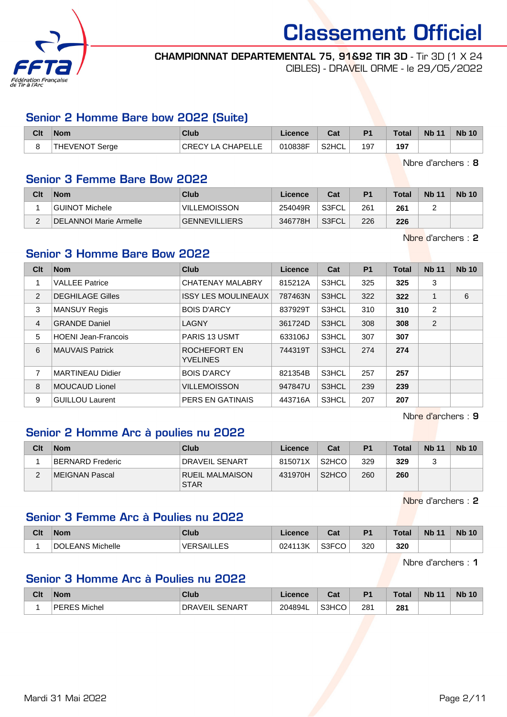

### CHAMPIONNAT DEPARTEMENTAL 75, 91&92 TIR 3D - Tir 3D (1 X 24 CIBLES) - DRAVEIL ORME - le 29/05/2022

### Senior 2 Homme Bare bow 2022 (Suite)

| Clt                          | <b>Nom</b>     | Club                     | Licence | Cat    | P <sub>1</sub> | Total | <b>Nb 11</b> | <b>Nb 10</b> |
|------------------------------|----------------|--------------------------|---------|--------|----------------|-------|--------------|--------------|
| $\overline{\phantom{0}}$<br> | THEVENOT Serge | <b>CRECY LA CHAPELLE</b> | 010838F | ≒S2HCL | 197            | 197   |              |              |

Nbre d'archers : 8

### Senior 3 Femme Bare Bow 2022

| Clt | <b>Nom</b>                    | Club                 | Licence | Cat   | P <sub>1</sub> | <b>Total</b> | <b>Nb 11</b> | <b>Nb 10</b> |
|-----|-------------------------------|----------------------|---------|-------|----------------|--------------|--------------|--------------|
|     | GUINOT Michele                | <b>VILLEMOISSON</b>  | 254049R | S3FCL | 261            | 261          |              |              |
| ⌒   | <b>DELANNOI Marie Armelle</b> | <b>GENNEVILLIERS</b> | 346778H | S3FCL | 226            | 226          |              |              |

Nbre d'archers : 2

## Senior 3 Homme Bare Bow 2022

| Clt            | <b>Nom</b>                 | <b>Club</b>                     | Licence | Cat   | <b>P1</b> | <b>Total</b> | <b>Nb 11</b>   | <b>Nb 10</b> |
|----------------|----------------------------|---------------------------------|---------|-------|-----------|--------------|----------------|--------------|
| 1              | <b>VALLEE Patrice</b>      | <b>CHATENAY MALABRY</b>         | 815212A | S3HCL | 325       | 325          | 3              |              |
| 2              | <b>DEGHILAGE Gilles</b>    | <b>ISSY LES MOULINEAUX</b>      | 787463N | S3HCL | 322       | 322          |                | 6            |
| 3              | <b>MANSUY Regis</b>        | <b>BOIS D'ARCY</b>              | 837929T | S3HCL | 310       | 310          | $\overline{2}$ |              |
| $\overline{4}$ | <b>GRANDE Daniel</b>       | LAGNY                           | 361724D | S3HCL | 308       | 308          | 2              |              |
| 5              | <b>HOENI Jean-Francois</b> | <b>PARIS 13 USMT</b>            | 633106J | S3HCL | 307       | 307          |                |              |
| 6              | <b>MAUVAIS Patrick</b>     | ROCHEFORT EN<br><b>YVELINES</b> | 744319T | S3HCL | 274       | 274          |                |              |
| 7              | <b>MARTINEAU Didier</b>    | <b>BOIS D'ARCY</b>              | 821354B | S3HCL | 257       | 257          |                |              |
| 8              | <b>MOUCAUD Lionel</b>      | <b>VILLEMOISSON</b>             | 947847U | S3HCL | 239       | 239          |                |              |
| 9              | <b>GUILLOU Laurent</b>     | PERS EN GATINAIS                | 443716A | S3HCL | 207       | 207          |                |              |

Nbre d'archers : 9

### Senior 2 Homme Arc à poulies nu 2022

| Clt      | <b>Nom</b>       | Club                                  | Licence | Cat                | P <sub>1</sub> | <b>Total</b> | <b>Nb 11</b> | <b>Nb 10</b> |
|----------|------------------|---------------------------------------|---------|--------------------|----------------|--------------|--------------|--------------|
|          | BERNARD Frederic | <b>DRAVEIL SENART</b>                 | 815071X | S <sub>2</sub> HCO | 329            | 329          | ີ            |              |
| <u>.</u> | MEIGNAN Pascal   | <b>RUEIL MALMAISON</b><br><b>STAR</b> | 431970H | S <sub>2</sub> HCO | 260            | 260          |              |              |

Nbre d'archers : 2

### Senior 3 Femme Arc à Poulies nu 2022

| Clt | <b>Nom</b>                    | Club      | Licence | <b>Tat</b><br>sal | D <sub>1</sub> | Total | Nb<br>$\overline{A}$ | <b>Nb 10</b> |
|-----|-------------------------------|-----------|---------|-------------------|----------------|-------|----------------------|--------------|
|     | LEANS Michelle<br><b>DOLE</b> | VED<br>-- | 024113K | S3FCO             | 320            | 320   |                      |              |

Nbre d'archers : 1

### Senior 3 Homme Arc à Poulies nu 2022

| Clt | <b>Nom</b>                            | Club                       | icence  | ◠っィ<br>va. | D <sub>4</sub> | Total | <b>N<sub>b</sub></b><br>$-11$ | <b>Nb 10</b> |
|-----|---------------------------------------|----------------------------|---------|------------|----------------|-------|-------------------------------|--------------|
|     | <b>DEI</b><br><sup>-</sup> RES Michel | ∟ SENAR⊤<br><b>DRAVEIL</b> | 204894L | S3HCO      | 281<br>$ -$    | 281   |                               |              |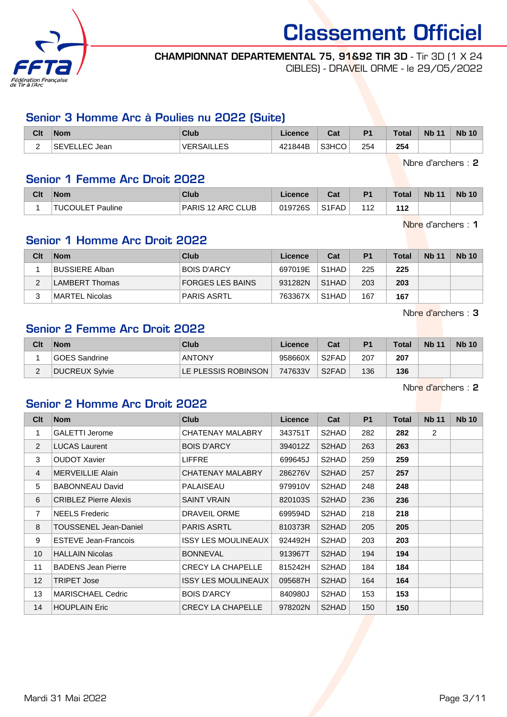

## CHAMPIONNAT DEPARTEMENTAL 75, 91&92 TIR 3D - Tir 3D (1 X 24

CIBLES) - DRAVEIL ORME - le 29/05/2022

### Senior 3 Homme Arc à Poulies nu 2022 (Suite)

| Clt                                  | <b>Nom</b>                 | Club                                  | Licence | <b>Tat</b><br>ual | P <sub>1</sub> | <b>Total</b> | <b>Nb 11</b> | <b>Nb 10</b> |
|--------------------------------------|----------------------------|---------------------------------------|---------|-------------------|----------------|--------------|--------------|--------------|
| $\overline{\phantom{0}}$<br><u>_</u> | Jean<br><b>SEVELL</b><br>. | EQ<br><b>VED</b><br><b>LIVUNILLLU</b> | 421844B | S3HCO             | 254            | 254          |              |              |

Nbre d'archers : 2

### Senior 1 Femme Arc Droit 2022

| Clt | <b>Nom</b>                         | Club              | .icence | r.,<br>ua                      | P <sub>1</sub> | <b>Total</b>          | <b>Nb 11</b> | <b>Nb 10</b> |
|-----|------------------------------------|-------------------|---------|--------------------------------|----------------|-----------------------|--------------|--------------|
|     | <b>Pauline</b><br><b>⊺TUCOULET</b> | PARIS 12 ARC CLUB | 019726S | S <sub>1</sub> F <sub>AD</sub> | 14 า           | 11 <sup>o</sup><br>14 |              |              |

Nbre d'archers : 1

## Senior 1 Homme Arc Droit 2022

| Clt    | <b>Nom</b>            | Club               | Licence | Cat                | P <sub>1</sub> | <b>Total</b> | <b>Nb 11</b> | <b>Nb 10</b> |
|--------|-----------------------|--------------------|---------|--------------------|----------------|--------------|--------------|--------------|
|        | <b>BUSSIERE Alban</b> | <b>BOIS D'ARCY</b> | 697019E | S1HAD              | 225            | 225          |              |              |
| ◠      | LAMBERT Thomas        | FORGES LES BAINS   | 931282N | S <sub>1</sub> HAD | 203            | 203          |              |              |
| າ<br>ບ | MARTEL Nicolas        | PARIS ASRTL        | 763367X | S1HAD              | 167            | 167          |              |              |

Nbre d'archers : 3

### Senior 2 Femme Arc Droit 2022

| Clt      | <b>Nom</b>     | Club                | Licence | Cat                | P <sub>1</sub> | <b>Total</b> | <b>Nb 11</b> | <b>Nb 10</b> |
|----------|----------------|---------------------|---------|--------------------|----------------|--------------|--------------|--------------|
|          | GOES Sandrine  | <b>ANTONY</b>       | 958660X | S <sub>2</sub> FAD | 207            | 207          |              |              |
| <u>_</u> | DUCREUX Sylvie | LE PLESSIS ROBINSON | 747633V | S <sub>2</sub> FAD | 136            | 136          |              |              |

Nbre d'archers : 2

### Senior 2 Homme Arc Droit 2022

| Clt            | <b>Nom</b>                   | <b>Club</b>                | Licence | Cat                | P <sub>1</sub> | Total | <b>Nb 11</b>   | <b>Nb 10</b> |
|----------------|------------------------------|----------------------------|---------|--------------------|----------------|-------|----------------|--------------|
| 1              | <b>GALETTI Jerome</b>        | CHATENAY MALABRY           | 343751T | S2HAD              | 282            | 282   | $\overline{2}$ |              |
| 2              | <b>LUCAS Laurent</b>         | <b>BOIS D'ARCY</b>         | 394012Z | S2HAD              | 263            | 263   |                |              |
| 3              | <b>OUDOT Xavier</b>          | <b>LIFFRE</b>              | 699645J | S2HAD              | 259            | 259   |                |              |
| $\overline{4}$ | <b>MERVEILLIE Alain</b>      | CHATENAY MALABRY           | 286276V | S2HAD              | 257            | 257   |                |              |
| 5              | <b>BABONNEAU David</b>       | PALAISEAU                  | 979910V | S2HAD              | 248            | 248   |                |              |
| 6              | <b>CRIBLEZ Pierre Alexis</b> | <b>SAINT VRAIN</b>         | 820103S | S2HAD              | 236            | 236   |                |              |
| $\overline{7}$ | <b>NEELS Frederic</b>        | DRAVEIL ORME               | 699594D | S2HAD              | 218            | 218   |                |              |
| 8              | TOUSSENEL Jean-Daniel        | <b>PARIS ASRTL</b>         | 810373R | S2HAD              | 205            | 205   |                |              |
| 9              | <b>ESTEVE Jean-Francois</b>  | <b>ISSY LES MOULINEAUX</b> | 924492H | S2HAD              | 203            | 203   |                |              |
| 10             | <b>HALLAIN Nicolas</b>       | <b>BONNEVAL</b>            | 913967T | S <sub>2</sub> HAD | 194            | 194   |                |              |
| 11             | <b>BADENS Jean Pierre</b>    | <b>CRECY LA CHAPELLE</b>   | 815242H | S2HAD              | 184            | 184   |                |              |
| 12             | <b>TRIPET Jose</b>           | <b>ISSY LES MOULINEAUX</b> | 095687H | S2HAD              | 164            | 164   |                |              |
| 13             | <b>MARISCHAEL Cedric</b>     | <b>BOIS D'ARCY</b>         | 840980J | S2HAD              | 153            | 153   |                |              |
| 14             | <b>HOUPLAIN Eric</b>         | <b>CRECY LA CHAPELLE</b>   | 978202N | S2HAD              | 150            | 150   |                |              |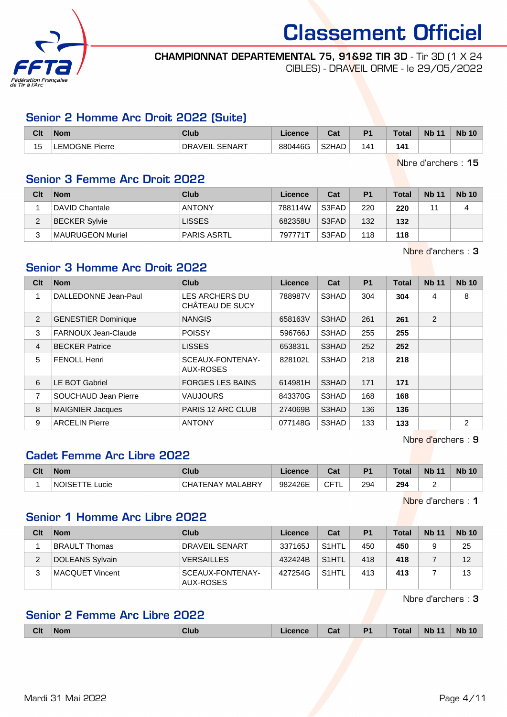

#### CHAMPIONNAT DEPARTEMENTAL 75, 91&92 TIR 3D - Tir 3D (1 X 24 CIBLES) - DRAVEIL ORME - le 29/05/2022

### Senior 2 Homme Arc Droit 2022 (Suite)

| Clt                  | <b>Nom</b>           | <b>Club</b>                    | Licence | ◠؞+<br>ual | D <sub>4</sub> | <b>Total</b> | <b>N<sub>b</sub></b><br>11 | <b>Nb 10</b> |
|----------------------|----------------------|--------------------------------|---------|------------|----------------|--------------|----------------------------|--------------|
| $\overline{ }$<br>ıэ | <b>EMOGNE Pierre</b> | <b>SENART</b><br>DR<br>י AVEIL | 880446G | S2HAD      | '4             | 141          |                            |              |

Nbre d'archers : 15

### Senior 3 Femme Arc Droit 2022

| Clt    | <b>Nom</b>           | Club          | Licence | Cat   | P <sub>1</sub> | <b>Total</b> | <b>Nb 11</b> | <b>Nb 10</b> |
|--------|----------------------|---------------|---------|-------|----------------|--------------|--------------|--------------|
|        | DAVID Chantale       | <b>ANTONY</b> | 788114W | S3FAD | 220            | 220          |              |              |
| ົ<br>∠ | <b>BECKER Sylvie</b> | <b>LISSES</b> | 682358U | S3FAD | 132            | 132          |              |              |
|        | MAURUGEON Muriel     | PARIS ASRTL   | 797771T | S3FAD | 118            | 118          |              |              |

Nbre d'archers : 3

## Senior 3 Homme Arc Droit 2022

| Clt            | <b>Nom</b>                  | Club                                     | <b>Licence</b> | Cat   | <b>P1</b> | <b>Total</b> | <b>Nb 11</b> | <b>Nb 10</b> |
|----------------|-----------------------------|------------------------------------------|----------------|-------|-----------|--------------|--------------|--------------|
|                | <b>DALLEDONNE Jean-Paul</b> | <b>LES ARCHERS DU</b><br>CHÂTEAU DE SUCY | 788987V        | S3HAD | 304       | 304          | 4            | 8            |
| 2              | <b>GENESTIER Dominique</b>  | <b>NANGIS</b>                            | 658163V        | S3HAD | 261       | 261          | 2            |              |
| 3              | FARNOUX Jean-Claude         | <b>POISSY</b>                            | 596766J        | S3HAD | 255       | 255          |              |              |
| $\overline{4}$ | <b>BECKER Patrice</b>       | <b>LISSES</b>                            | 653831L        | S3HAD | 252       | 252          |              |              |
| 5              | <b>FENOLL Henri</b>         | SCEAUX-FONTENAY-<br>AUX-ROSES            | 828102L        | S3HAD | 218       | 218          |              |              |
| 6              | LE BOT Gabriel              | <b>FORGES LES BAINS</b>                  | 614981H        | S3HAD | 171       | 171          |              |              |
| 7              | SOUCHAUD Jean Pierre        | <b>VAUJOURS</b>                          | 843370G        | S3HAD | 168       | 168          |              |              |
| 8              | <b>MAIGNIER Jacques</b>     | PARIS 12 ARC CLUB                        | 274069B        | S3HAD | 136       | 136          |              |              |
| 9              | <b>ARCELIN Pierre</b>       | <b>ANTONY</b>                            | 077148G        | S3HAD | 133       | 133          |              | 2            |

Nbre d'archers : 9

### Cadet Femme Arc Libre 2022

| Clt | <b>Nom</b>           | <b>Club</b>                                 | Licence | $T - 1$<br>ual           | D <sub>1</sub>       | <b>Total</b>         | <b>Nb</b><br>$\overline{A}$ | Nb<br>10 |
|-----|----------------------|---------------------------------------------|---------|--------------------------|----------------------|----------------------|-----------------------------|----------|
|     | <b>NOISE</b><br>ucie | _ABRY<br>் ்ட<br>MAI<br>ΉNΔ<br>$\mathbf{v}$ | 982426E | $\sim$ $ \sim$<br>∼<br>◡ | 294<br>$\sim$ $\sim$ | 294<br>$\sim$ $\sim$ |                             |          |

Nbre d'archers : 1

### Senior 1 Homme Arc Libre 2022

| Clt | <b>Nom</b>           | Club                          | Licence | Cat                | P <sub>1</sub> | <b>Total</b> | <b>Nb 11</b> | <b>Nb 10</b> |
|-----|----------------------|-------------------------------|---------|--------------------|----------------|--------------|--------------|--------------|
|     | <b>BRAULT Thomas</b> | DRAVEIL SENART                | 337165J | S <sub>1</sub> HTL | 450            | 450          |              | 25           |
| 2   | DOLEANS Sylvain      | <b>VERSAILLES</b>             | 432424B | S <sub>1</sub> HTL | 418            | 418          |              | 12           |
| 3   | MACQUET Vincent      | SCEAUX-FONTENAY-<br>AUX-ROSES | 427254G | S <sub>1</sub> HTL | 413            | 413          |              | 13           |

Nbre d'archers : 3

### Senior 2 Femme Arc Libre 2022

|  | <b>Clt</b> | <b>Nom</b> | Clut | <b>Ance</b> | Cat | P <sub>1</sub> | <b>Total</b> | <b>Nb 11</b> | <b>Nb 10</b> |
|--|------------|------------|------|-------------|-----|----------------|--------------|--------------|--------------|
|--|------------|------------|------|-------------|-----|----------------|--------------|--------------|--------------|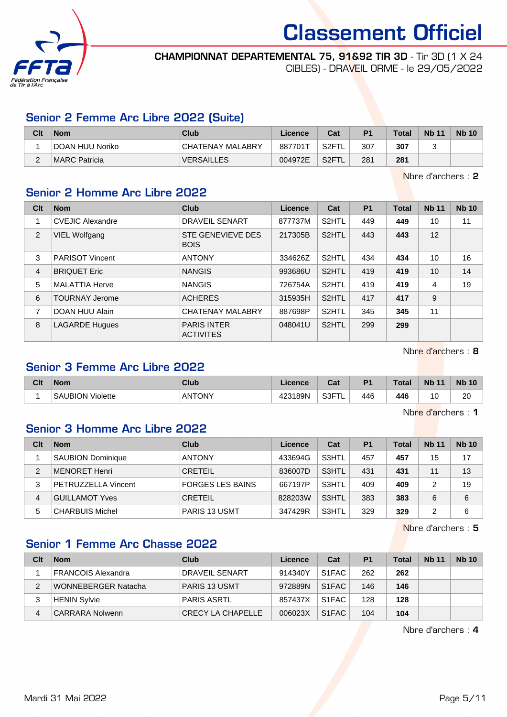

### CHAMPIONNAT DEPARTEMENTAL 75, 91&92 TIR 3D - Tir 3D (1 X 24 CIBLES) - DRAVEIL ORME - le 29/05/2022

### Senior 2 Femme Arc Libre 2022 (Suite)

| Clt      | Nom             | Club              | Licence | Cat                | P <sub>1</sub> | <b>Total</b> | <b>Nb 11</b> | <b>Nb 10</b> |
|----------|-----------------|-------------------|---------|--------------------|----------------|--------------|--------------|--------------|
|          | DOAN HUU Noriko | CHATENAY MALABRY  | 887701T | S <sub>2</sub> FTL | 307            | 307          |              |              |
| <u>.</u> | IMARC Patricia  | <b>VERSAILLES</b> | 004972E | S <sub>2</sub> FTL | 281            | 281          |              |              |

Nbre d'archers : 2

### Senior 2 Homme Arc Libre 2022

| Clt           | <b>Nom</b>              | <b>Club</b>                             | Licence | Cat                | P <sub>1</sub> | <b>Total</b> | <b>Nb 11</b> | <b>Nb 10</b> |
|---------------|-------------------------|-----------------------------------------|---------|--------------------|----------------|--------------|--------------|--------------|
|               | <b>CVEJIC Alexandre</b> | <b>DRAVEIL SENART</b>                   | 877737M | S2HTL              | 449            | 449          | 10           | 11           |
| $\mathcal{P}$ | VIEL Wolfgang           | <b>STE GENEVIEVE DES</b><br><b>BOIS</b> | 217305B | S2HTL              | 443            | 443          | 12           |              |
| 3             | <b>PARISOT Vincent</b>  | <b>ANTONY</b>                           | 334626Z | S2HTL              | 434            | 434          | 10           | 16           |
| 4             | <b>BRIQUET Eric</b>     | <b>NANGIS</b>                           | 993686U | S <sub>2</sub> HTL | 419            | 419          | 10           | 14           |
| 5             | <b>MALATTIA Herve</b>   | <b>NANGIS</b>                           | 726754A | S2HTL              | 419            | 419          | 4            | 19           |
| 6             | <b>TOURNAY Jerome</b>   | <b>ACHERES</b>                          | 315935H | S <sub>2</sub> HTL | 417            | 417          | 9            |              |
| 7             | DOAN HUU Alain          | <b>CHATENAY MALABRY</b>                 | 887698P | S2HTL              | 345            | 345          | 11           |              |
| 8             | <b>LAGARDE Hugues</b>   | <b>PARIS INTER</b><br><b>ACTIVITES</b>  | 048041U | S <sub>2</sub> HTL | 299            | 299          |              |              |

Nbre d'archers : 8

### Senior 3 Femme Arc Libre 2022

| Clt | <b>Nom</b>                              | Club   | <b>_icence</b>            | Cat                                                          | D <sup>4</sup> | <b>Total</b> | <b>Nb</b><br>11 | <b>Nb 10</b> |
|-----|-----------------------------------------|--------|---------------------------|--------------------------------------------------------------|----------------|--------------|-----------------|--------------|
|     | Violette <sup>®</sup><br><b>SAUBION</b> | ANTONY | 189N<br>$\Lambda$<br>46 C | $\overline{S}$ S3F <sup><math>\overline{S}</math></sup><br>- | 446            | 446          | ΙU              | 20           |
|     |                                         |        |                           |                                                              |                |              |                 |              |

Nbre d'archers : 1

### Senior 3 Homme Arc Libre 2022

| Clt | <b>Nom</b>               | Club                    | Licence | Cat   | P <sub>1</sub> | <b>Total</b> | <b>Nb 11</b> | <b>Nb 10</b> |
|-----|--------------------------|-------------------------|---------|-------|----------------|--------------|--------------|--------------|
|     | <b>SAUBION Dominique</b> | <b>ANTONY</b>           | 433694G | S3HTL | 457            | 457          | 15           | 17           |
| 2   | MENORET Henri            | <b>CRETEIL</b>          | 836007D | S3HTL | 431            | 431          | 11           | 13           |
| 3   | PETRUZZELLA Vincent      | <b>FORGES LES BAINS</b> | 667197P | S3HTL | 409            | 409          |              | 19           |
| 4   | GUILLAMOT Yves           | <b>CRETEIL</b>          | 828203W | S3HTL | 383            | 383          | 6            | 6            |
| 5   | <b>CHARBUIS Michel</b>   | <b>PARIS 13 USMT</b>    | 347429R | S3HTL | 329            | 329          | 2            | 6            |

Nbre d'archers : 5

### Senior 1 Femme Arc Chasse 2022

| Clt | <b>Nom</b>          | Club                 | Licence | Cat                | P <sub>1</sub> | <b>Total</b> | <b>Nb 11</b> | <b>Nb 10</b> |
|-----|---------------------|----------------------|---------|--------------------|----------------|--------------|--------------|--------------|
|     | FRANCOIS Alexandra  | DRAVEIL SENART       | 914340Y | S1FAC              | 262            | 262          |              |              |
| 2   | WONNEBERGER Natacha | <b>PARIS 13 USMT</b> | 972889N | S1FAC              | 146            | 146          |              |              |
| 3   | <b>HENIN Sylvie</b> | <b>PARIS ASRTL</b>   | 857437X | S1FAC              | 128            | 128          |              |              |
| 4   | CARRARA Nolwenn     | CRECY LA CHAPELLE    | 006023X | S <sub>1</sub> FAC | 104            | 104          |              |              |

Nbre d'archers : 4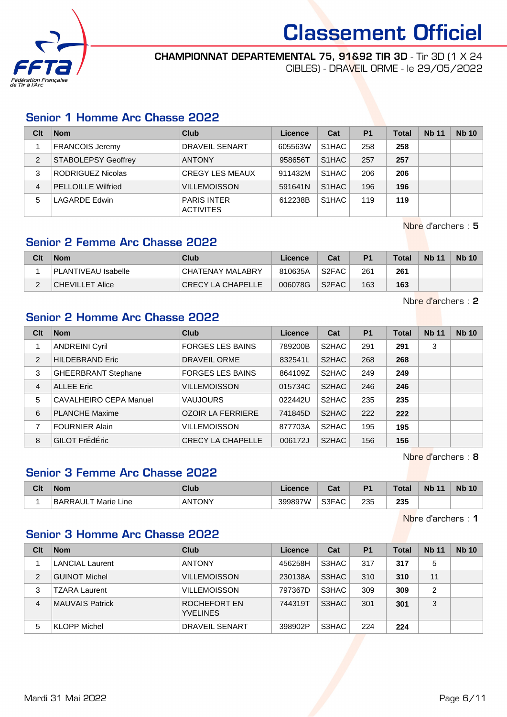

### CHAMPIONNAT DEPARTEMENTAL 75, 91&92 TIR 3D - Tir 3D (1 X 24

CIBLES) - DRAVEIL ORME - le 29/05/2022

### Senior 1 Homme Arc Chasse 2022

| Clt | <b>Nom</b>                 | Club                                   | Licence | Cat                | P <sub>1</sub> | <b>Total</b> | <b>Nb 11</b> | <b>Nb 10</b> |
|-----|----------------------------|----------------------------------------|---------|--------------------|----------------|--------------|--------------|--------------|
|     | <b>FRANCOIS Jeremy</b>     | <b>DRAVEIL SENART</b>                  | 605563W | S1HAC              | 258            | 258          |              |              |
| 2   | <b>STABOLEPSY Geoffrey</b> | <b>ANTONY</b>                          | 958656T | S <sub>1</sub> HAC | 257            | 257          |              |              |
| 3   | RODRIGUEZ Nicolas          | <b>CREGY LES MEAUX</b>                 | 911432M | S <sub>1</sub> HAC | 206            | 206          |              |              |
| 4   | <b>PELLOILLE Wilfried</b>  | <b>VILLEMOISSON</b>                    | 591641N | S <sub>1</sub> HAC | 196            | 196          |              |              |
| 5   | <b>LAGARDE Edwin</b>       | <b>PARIS INTER</b><br><b>ACTIVITES</b> | 612238B | S <sub>1</sub> HAC | 119            | 119          |              |              |

Nbre d'archers : 5

### Senior 2 Femme Arc Chasse 2022

| Clt | <b>Nom</b>          | Club                          | Licence | Cat   | P <sub>1</sub> | Total | <b>Nb 11</b> | <b>Nb 10</b> |
|-----|---------------------|-------------------------------|---------|-------|----------------|-------|--------------|--------------|
|     | PLANTIVEAU Isabelle | CHATENAY MALABRY              | 810635A | S2FAC | 261            | 261   |              |              |
|     | ∣CHEVILLET Alice    | $ {\sf CRECY\,LA\,CHAPELLE} $ | 006078G | S2FAC | 163            | 163   |              |              |

Nbre d'archers : 2

### Senior 2 Homme Arc Chasse 2022

| Clt | <b>Nom</b>                    | Club                     | Licence | Cat                | P <sub>1</sub> | <b>Total</b> | <b>Nb 11</b> | <b>Nb 10</b> |
|-----|-------------------------------|--------------------------|---------|--------------------|----------------|--------------|--------------|--------------|
|     | <b>ANDREINI Cyril</b>         | <b>FORGES LES BAINS</b>  | 789200B | S2HAC              | 291            | 291          | 3            |              |
| 2   | <b>HILDEBRAND Eric</b>        | DRAVEIL ORME             | 832541L | S2HAC              | 268            | 268          |              |              |
| 3   | <b>GHEERBRANT Stephane</b>    | <b>FORGES LES BAINS</b>  | 864109Z | S2HAC              | 249            | 249          |              |              |
| 4   | <b>ALLEE</b> Eric             | <b>VILLEMOISSON</b>      | 015734C | S <sub>2</sub> HAC | 246            | 246          |              |              |
| 5   | <b>CAVALHEIRO CEPA Manuel</b> | <b>VAUJOURS</b>          | 022442U | S2HAC              | 235            | 235          |              |              |
| 6   | <b>PLANCHE Maxime</b>         | <b>OZOIR LA FERRIERE</b> | 741845D | S2HAC              | 222            | 222          |              |              |
| 7   | <b>FOURNIER Alain</b>         | <b>VILLEMOISSON</b>      | 877703A | S2HAC              | 195            | 195          |              |              |
| 8   | GILOT FrÉdÉric                | <b>CRECY LA CHAPELLE</b> | 006172J | S2HAC              | 156            | 156          |              |              |

Nbre d'archers : 8

## Senior 3 Femme Arc Chasse 2022

| Clt | <b>Nom</b>                                | Club          | icence  | יי<br>va. | D <sub>4</sub> | <b>Total</b> | <b>N<sub>b</sub></b><br>$-11$ | <b>Nb</b> |
|-----|-------------------------------------------|---------------|---------|-----------|----------------|--------------|-------------------------------|-----------|
|     | RARRAIII <sub>T</sub><br>_ine<br>⊺Marie ∟ | <b>ANTONY</b> | 399897W | S3FAC     | 235<br>. .     | つつに<br>∠ວວ   |                               |           |

Nbre d'archers : 1

### Senior 3 Homme Arc Chasse 2022

| Clt            | <b>Nom</b>             | Club                            | Licence | Cat   | <b>P1</b> | <b>Total</b> | <b>Nb 11</b> | <b>Nb 10</b> |
|----------------|------------------------|---------------------------------|---------|-------|-----------|--------------|--------------|--------------|
|                | <b>LANCIAL Laurent</b> | <b>ANTONY</b>                   | 456258H | S3HAC | 317       | 317          | 5            |              |
| $\overline{2}$ | <b>GUINOT Michel</b>   | <b>VILLEMOISSON</b>             | 230138A | S3HAC | 310       | 310          | 11           |              |
| 3              | TZARA Laurent          | <b>VILLEMOISSON</b>             | 797367D | S3HAC | 309       | 309          | 2            |              |
| 4              | <b>MAUVAIS Patrick</b> | ROCHEFORT EN<br><b>YVELINES</b> | 744319T | S3HAC | 301       | 301          | 3            |              |
| 5              | KLOPP Michel           | <b>DRAVEIL SENART</b>           | 398902P | S3HAC | 224       | 224          |              |              |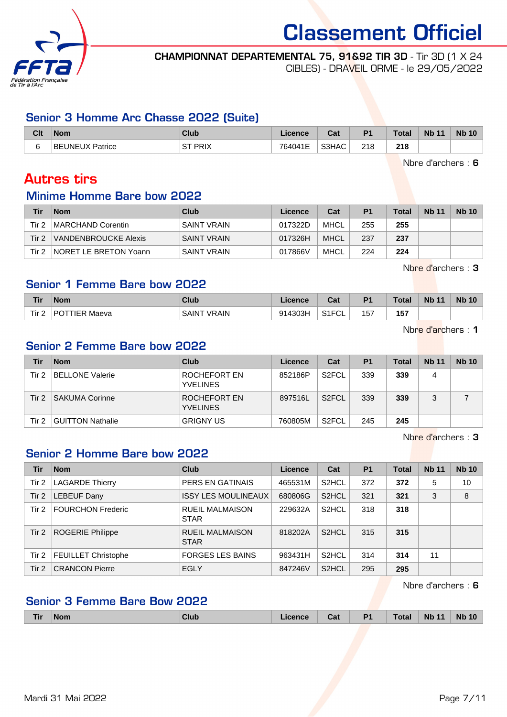

## CHAMPIONNAT DEPARTEMENTAL 75, 91&92 TIR 3D - Tir 3D (1 X 24

CIBLES) - DRAVEIL ORME - le 29/05/2022

### Senior 3 Homme Arc Chasse 2022 (Suite)

| Clt    | <b>Nom</b>             | <b>Club</b>                 | Licence | $R_{\rm{eff}}$<br>ual | P <sub>1</sub> | <b>Total</b> | <b>Nb 11</b> | <b>Nb 10</b> |
|--------|------------------------|-----------------------------|---------|-----------------------|----------------|--------------|--------------|--------------|
| $\sim$ | <b>BEUNEUX Patrice</b> | ' DDIV<br>$\sim$<br>Ή™<br>ت | 764041E | S3HAC                 | 218            | 218          |              |              |

Nbre d'archers : 6

## Autres tirs

### Minime Homme Bare bow 2022

| Tir   | <b>Nom</b>                   | Club               | Licence | Cat         | P <sub>1</sub> | <b>Total</b> | <b>Nb 11</b> | <b>Nb 10</b> |
|-------|------------------------------|--------------------|---------|-------------|----------------|--------------|--------------|--------------|
| Tir 2 | MARCHAND Corentin            | <b>SAINT VRAIN</b> | 017322D | MHCL        | 255            | 255          |              |              |
| Tir 2 | VANDENBROUCKE Alexis         | <b>SAINT VRAIN</b> | 017326H | <b>MHCL</b> | 237            | 237          |              |              |
| Tir 2 | <b>NORET LE BRETON Yoann</b> | <b>SAINT VRAIN</b> | 017866V | MHCL        | 224            | 224          |              |              |

Nbre d'archers : 3

### Senior 1 Femme Bare bow 2022

| Tir              | <b>Nom</b>        | <b>Club</b>                       | Licence | <b>Dol</b><br>ual  | D <sub>1</sub> | Total       | <b>Nb 11</b> | <b>Nb 10</b> |
|------------------|-------------------|-----------------------------------|---------|--------------------|----------------|-------------|--------------|--------------|
| Tir <sub>2</sub> | P∩⊤<br>TIER Maeva | <b>VRAIN</b><br>SAIN <sup>-</sup> | 914303H | S1ET<br>۱۱ ت<br>◡∟ | 157            | 157<br>$ -$ |              |              |

Nbre d'archers : 1

### Senior 2 Femme Bare bow 2022

| Tir   | <b>Nom</b>              | Club                            | Licence | Cat                | P <sub>1</sub> | <b>Total</b> | <b>Nb 11</b> | <b>Nb 10</b> |
|-------|-------------------------|---------------------------------|---------|--------------------|----------------|--------------|--------------|--------------|
| Tir 2 | <b>BELLONE Valerie</b>  | ROCHEFORT EN<br><b>YVELINES</b> | 852186P | S <sub>2</sub> FCL | 339            | 339          | 4            |              |
| Tir 2 | <b>SAKUMA Corinne</b>   | ROCHEFORT EN<br><b>YVELINES</b> | 897516L | S <sub>2</sub> FCL | 339            | 339          |              |              |
| Tir 2 | <b>GUITTON Nathalie</b> | <b>GRIGNY US</b>                | 760805M | S <sub>2</sub> FCL | 245            | 245          |              |              |

Nbre d'archers : 3

### Senior 2 Homme Bare bow 2022

| Tir   | <b>Nom</b>                 | Club                                  | Licence | Cat                | P <sub>1</sub> | <b>Total</b> | <b>Nb 11</b> | <b>Nb 10</b> |
|-------|----------------------------|---------------------------------------|---------|--------------------|----------------|--------------|--------------|--------------|
| Tir 2 | <b>LAGARDE Thierry</b>     | PERS EN GATINAIS                      | 465531M | S <sub>2</sub> HCL | 372            | 372          | 5            | 10           |
| Tir 2 | <b>LEBEUF Dany</b>         | <b>ISSY LES MOULINEAUX</b>            | 680806G | S <sub>2</sub> HCL | 321            | 321          | 3            | 8            |
| Tir 2 | <b>FOURCHON Frederic</b>   | <b>RUEIL MALMAISON</b><br><b>STAR</b> | 229632A | S <sub>2</sub> HCL | 318            | 318          |              |              |
| Tir 2 | <b>ROGERIE Philippe</b>    | <b>RUEIL MALMAISON</b><br><b>STAR</b> | 818202A | S <sub>2</sub> HCL | 315            | 315          |              |              |
| Tir 2 | <b>FEUILLET Christophe</b> | <b>FORGES LES BAINS</b>               | 963431H | S <sub>2</sub> HCL | 314            | 314          | 11           |              |
| Tir 2 | <b>CRANCON Pierre</b>      | <b>EGLY</b>                           | 847246V | S <sub>2</sub> HCL | 295            | 295          |              |              |

Nbre d'archers : 6

### Senior 3 Femme Bare Bow 2022

| <b>Tir</b> | <b>Nom</b> | <b>Club</b> | Licence | Cat | P <sub>1</sub> | <b>Total</b> | <b>Nb 11</b> | <b>Nb 10</b> |
|------------|------------|-------------|---------|-----|----------------|--------------|--------------|--------------|
|            |            |             |         |     |                |              |              |              |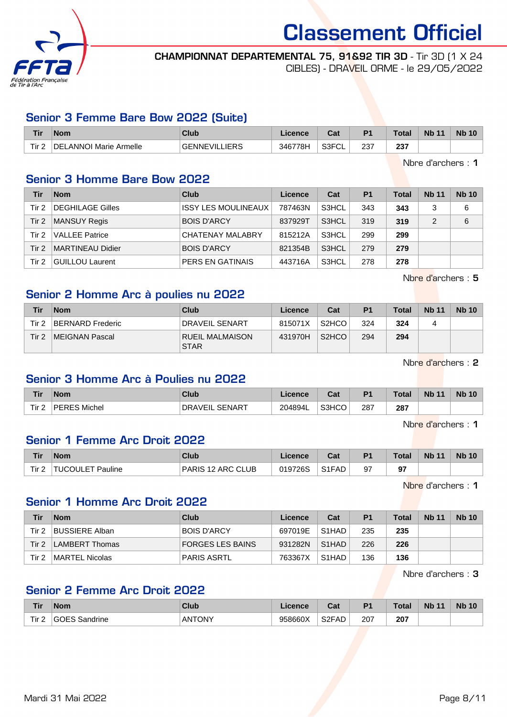

## CHAMPIONNAT DEPARTEMENTAL 75, 91&92 TIR 3D - Tir 3D (1 X 24

CIBLES) - DRAVEIL ORME - le 29/05/2022

### Senior 3 Femme Bare Bow 2022 (Suite)

| <b>Tir</b> | <b>Nom</b>                         | Club                      | Licence | <b>That is a fact of the owner.</b><br>ual | D <sub>1</sub> | Tota       | <b>Nb 11</b> | <b>Nb 10</b> |
|------------|------------------------------------|---------------------------|---------|--------------------------------------------|----------------|------------|--------------|--------------|
| Tir $2$    | <b>LANNOI Marie Armelle</b><br>DEI | LIERS<br><b>GENNEVILL</b> | 346778H | S <sub>3</sub> FCI<br>ັບ∟                  | 237            | つつつ<br>251 |              |              |

Nbre d'archers : 1

### Senior 3 Homme Bare Bow 2022

| Tir   | <b>Nom</b>            | Club                       | <b>Licence</b> | Cat   | P <sub>1</sub> | <b>Total</b> | <b>Nb 11</b> | <b>Nb 10</b> |
|-------|-----------------------|----------------------------|----------------|-------|----------------|--------------|--------------|--------------|
| Tir 2 | DEGHILAGE Gilles      | <b>ISSY LES MOULINEAUX</b> | 787463N        | S3HCL | 343            | 343          |              | 6            |
| Tir 2 | MANSUY Regis          | <b>BOIS D'ARCY</b>         | 837929T        | S3HCL | 319            | 319          | 2            | 6            |
| Tir 2 | <b>VALLEE Patrice</b> | <b>CHATENAY MALABRY</b>    | 815212A        | S3HCL | 299            | 299          |              |              |
| Tir 2 | MARTINEAU Didier      | <b>BOIS D'ARCY</b>         | 821354B        | S3HCL | 279            | 279          |              |              |
| Tir 2 | GUILLOU Laurent       | PERS EN GATINAIS           | 443716A        | S3HCL | 278            | 278          |              |              |

Nbre d'archers : 5

### Senior 2 Homme Arc à poulies nu 2022

| Tir   | <b>Nom</b>       | Club                                  | Licence | Cat                | P <sub>1</sub> | <b>Total</b> | <b>Nb 11</b> | <b>Nb 10</b> |
|-------|------------------|---------------------------------------|---------|--------------------|----------------|--------------|--------------|--------------|
| Tir 2 | BERNARD Frederic | DRAVEIL SENART                        | 815071X | S <sub>2</sub> HCO | 324            | 324          | 4            |              |
| Tir 2 | MEIGNAN Pascal   | <b>RUEIL MALMAISON</b><br><b>STAR</b> | 431970H | S <sub>2</sub> HCO | 294            | 294          |              |              |

Nbre d'archers : 2

### Senior 3 Homme Arc à Poulies nu 2022

| Tir   | <b>Nom</b>             | <b>Club</b>                | Licence | $R_{\alpha}$<br>ual | <b>P1</b> | Total | <b>Nb 11</b> | <b>Nb 10</b> |
|-------|------------------------|----------------------------|---------|---------------------|-----------|-------|--------------|--------------|
| Tir 2 | Michel<br>DEDER<br>៶∟ພ | . SENART<br><b>DRAVEIL</b> | 204894L | S3HCO               | 287       | 287   |              |              |

Nbre d'archers : 1

### Senior 1 Femme Arc Droit 2022

| <b>Tir</b> | <b>Nom</b>                                    | Club              | Licence | $R_{\alpha}$<br>val            | P <sub>1</sub> | <b>Total</b> | <b>Nb 11</b> | <b>Nb 10</b> |
|------------|-----------------------------------------------|-------------------|---------|--------------------------------|----------------|--------------|--------------|--------------|
| Tir $2$    | Pauline<br>$\bigcap \Pi$ $\sqsubseteq$ $\top$ | PARIS 12 ARC CLUB | 019726S | S <sub>1</sub> F <sub>AD</sub> | 97             | 67<br>∍,     |              |              |

Nbre d'archers : 1

## Senior 1 Homme Arc Droit 2022

| Tir      | Nom                   | Club               | Licence | Cat                | P <sub>1</sub> | <b>Total</b> | <b>Nb 11</b> | <b>Nb 10</b> |
|----------|-----------------------|--------------------|---------|--------------------|----------------|--------------|--------------|--------------|
| Tir 2    | <b>BUSSIERE Alban</b> | <b>BOIS D'ARCY</b> | 697019E | S <sub>1</sub> HAD | 235            | 235          |              |              |
| Tir $22$ | LAMBERT Thomas        | FORGES LES BAINS   | 931282N | S <sub>1</sub> HAD | 226            | 226          |              |              |
| Tir 2    | MARTEL Nicolas        | <b>PARIS ASRTL</b> | 763367X | S <sub>1</sub> HAD | 136            | 136          |              |              |

Nbre d'archers : 3

### Senior 2 Femme Arc Droit 2022

| <b>Tir</b> | <b>Nom</b>              | <b>Club</b>   | $I$ cance<br>סווטכ | יפ<br>uai                           | D <sub>4</sub> | <b>Total</b> | <b>Nb</b><br>$\overline{A}$ | <b>Nb</b><br>$\Lambda$ |
|------------|-------------------------|---------------|--------------------|-------------------------------------|----------------|--------------|-----------------------------|------------------------|
| Tir 2      | ר∪⊏כ<br>Sandrine<br>64) | JTONY<br>∶ΔΝ⊤ | 958660X            | <b>ROEAD</b><br>⊺∠ت<br>$\mathsf{L}$ | 207            | 207          |                             |                        |

Mardi 31 Mai 2022 **Page 8/11**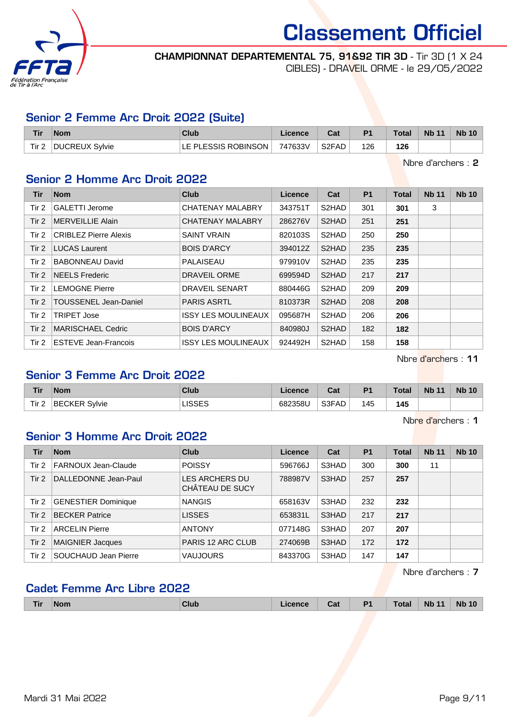

CHAMPIONNAT DEPARTEMENTAL 75, 91&92 TIR 3D - Tir 3D (1 X 24 CIBLES) - DRAVEIL ORME - le 29/05/2022

### Senior 2 Femme Arc Droit 2022 (Suite)

| Tir   | <b>Nom</b>     | Club                  | Licence | Cat   | P <sub>1</sub> | <b>Total</b> | <b>Nb 11</b> | <b>Nb 10</b> |
|-------|----------------|-----------------------|---------|-------|----------------|--------------|--------------|--------------|
| Tir 2 | DUCREUX Sylvie | LE PLESSIS ROBINSON L | 747633V | S2FAD | 126            | 126          |              |              |

Nbre d'archers : 2

### Senior 2 Homme Arc Droit 2022

| <b>Tir</b> | <b>Nom</b>                   | <b>Club</b>                | Licence | Cat                | <b>P1</b> | <b>Total</b> | <b>Nb 11</b> | <b>Nb 10</b> |
|------------|------------------------------|----------------------------|---------|--------------------|-----------|--------------|--------------|--------------|
| Tir 2      | <b>GALETTI Jerome</b>        | <b>CHATENAY MALABRY</b>    | 343751T | S2HAD              | 301       | 301          | 3            |              |
| Tir 2      | MERVEILLIE Alain             | <b>CHATENAY MALABRY</b>    | 286276V | S <sub>2</sub> HAD | 251       | 251          |              |              |
| Tir 2      | <b>CRIBLEZ Pierre Alexis</b> | <b>SAINT VRAIN</b>         | 820103S | S2HAD              | 250       | 250          |              |              |
| Tir $21$   | <b>LUCAS Laurent</b>         | <b>BOIS D'ARCY</b>         | 394012Z | S2HAD              | 235       | 235          |              |              |
| Tir 2      | <b>BABONNEAU David</b>       | PALAISEAU                  | 979910V | S2HAD              | 235       | 235          |              |              |
| Tir $2$    | NEELS Frederic               | DRAVEIL ORME               | 699594D | S2HAD              | 217       | 217          |              |              |
| Tir $2$    | <b>LEMOGNE Pierre</b>        | <b>DRAVEIL SENART</b>      | 880446G | S2HAD              | 209       | 209          |              |              |
| Tir $2$    | <b>TOUSSENEL Jean-Daniel</b> | <b>PARIS ASRTL</b>         | 810373R | S2HAD              | 208       | 208          |              |              |
| Tir 2      | <b>TRIPET Jose</b>           | <b>ISSY LES MOULINEAUX</b> | 095687H | S2HAD              | 206       | 206          |              |              |
| Tir $2$    | MARISCHAEL Cedric            | <b>BOIS D'ARCY</b>         | 840980J | S2HAD              | 182       | 182          |              |              |
| Tir 2      | ESTEVE Jean-Francois         | <b>ISSY LES MOULINEAUX</b> | 924492H | S2HAD              | 158       | 158          |              |              |

Nbre d'archers : 11

### Senior 3 Femme Arc Droit 2022

| <b>Tir</b> | <b>Nom</b>            | Club            | icence  | $\sim$<br>ual | P <sub>1</sub> | <b>Total</b> | <b>Nb 11</b> | <b>Nb 10</b> |
|------------|-----------------------|-----------------|---------|---------------|----------------|--------------|--------------|--------------|
| Tir 2      | CKFR.<br>Svlvie<br>ВE | 10000<br>ט∟טסו. | 682358L | S3FAD         | 145            | 145          |              |              |

Nbre d'archers : 1

### Senior 3 Homme Arc Droit 2022

| Tir   | <b>Nom</b>                 | Club                                     | <b>Licence</b> | Cat   | <b>P1</b> | <b>Total</b> | <b>Nb 11</b> | <b>Nb 10</b> |
|-------|----------------------------|------------------------------------------|----------------|-------|-----------|--------------|--------------|--------------|
| Tir 2 | <b>FARNOUX Jean-Claude</b> | <b>POISSY</b>                            | 596766J        | S3HAD | 300       | 300          | 11           |              |
| Tir 2 | DALLEDONNE Jean-Paul       | <b>LES ARCHERS DU</b><br>CHÂTEAU DE SUCY | 788987V        | S3HAD | 257       | 257          |              |              |
| Tir 2 | <b>GENESTIER Dominique</b> | <b>NANGIS</b>                            | 658163V        | S3HAD | 232       | 232          |              |              |
| Tir 2 | <b>BECKER Patrice</b>      | <b>LISSES</b>                            | 653831L        | S3HAD | 217       | 217          |              |              |
| Tir 2 | <b>ARCELIN Pierre</b>      | <b>ANTONY</b>                            | 077148G        | S3HAD | 207       | 207          |              |              |
| Tir 2 | <b>MAIGNIER Jacques</b>    | <b>PARIS 12 ARC CLUB</b>                 | 274069B        | S3HAD | 172       | 172          |              |              |
| Tir 2 | SOUCHAUD Jean Pierre       | <b>VAUJOURS</b>                          | 843370G        | S3HAD | 147       | 147          |              |              |

Nbre d'archers : 7

### Cadet Femme Arc Libre 2022

| Tir | <b>Nom</b> | <b>Club</b> | icence<br>______ | Cat | P <sub>1</sub><br>. . | Total | <b>Nh 11</b><br>. | <b>N<sub>b</sub></b> |
|-----|------------|-------------|------------------|-----|-----------------------|-------|-------------------|----------------------|
|     |            |             |                  |     |                       |       |                   |                      |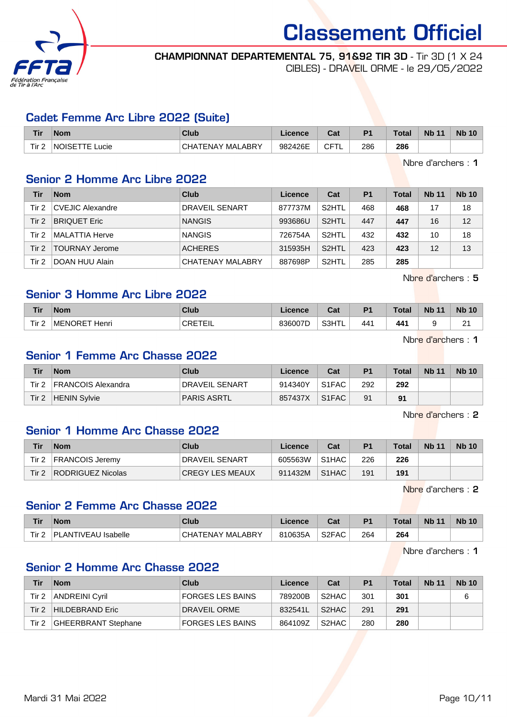

# CHAMPIONNAT DEPARTEMENTAL 75, 91&92 TIR 3D - Tir 3D (1 X 24

CIBLES) - DRAVEIL ORME - le 29/05/2022

### Cadet Femme Arc Libre 2022 (Suite)

| <b>Tir</b> | <b>Nom</b>               | Club                  | Licence | Cat      | D <sub>1</sub> | Total | <b>Nb 11</b> | <b>Nb 10</b> |
|------------|--------------------------|-----------------------|---------|----------|----------------|-------|--------------|--------------|
| Tir 2      | <b>NOISETTE</b><br>_ucie | \TENAY MALABRY<br>CHA | 982426E | ∩⊏⊤<br>◡ | 286            | 286   |              |              |

Nbre d'archers : 1

### Senior 2 Homme Arc Libre 2022

| Tir   | <b>Nom</b>            | Club                  | Licence | Cat                | P <sub>1</sub> | <b>Total</b> | <b>Nb 11</b> | <b>Nb 10</b> |
|-------|-----------------------|-----------------------|---------|--------------------|----------------|--------------|--------------|--------------|
| Tir 2 | CVEJIC Alexandre      | <b>DRAVEIL SENART</b> | 877737M | S <sub>2</sub> HTL | 468            | 468          | 17           | 18           |
| Tir 2 | <b>BRIQUET Eric</b>   | <b>NANGIS</b>         | 993686U | S <sub>2</sub> HTL | 447            | 447          | 16           | 12           |
| Tir 2 | <b>MALATTIA Herve</b> | <b>NANGIS</b>         | 726754A | S <sub>2</sub> HTL | 432            | 432          | 10           | 18           |
| Tir 2 | TOURNAY Jerome        | <b>ACHERES</b>        | 315935H | S <sub>2</sub> HTL | 423            | 423          | 12           | 13           |
| Tir 2 | DOAN HUU Alain        | CHATENAY MALABRY      | 887698P | S <sub>2</sub> HTL | 285            | 285          |              |              |

Nbre d'archers : 5

### Senior 3 Homme Arc Libre 2022

| <b>Tir</b> | <b>Nom</b>             | <b>Club</b> | nn<br>nce, | <b>Cal</b><br>υαι | $D^{\prime}$ | $T - 1 - 1$<br>υιαι | <b>NI</b><br>$\overline{A}$<br>. | <b>Nb</b> |
|------------|------------------------|-------------|------------|-------------------|--------------|---------------------|----------------------------------|-----------|
| Tir 2      | <b>MENORE</b><br>Henri | ^^rTr"<br>◡ | 33600<br>┕ | COLITI            | 441          | 441                 |                                  | ົ<br>-    |

Nbre d'archers : 1

### Senior 1 Femme Arc Chasse 2022

| Tir   | <b>Nom</b>                | Club               | Licence | Cat                | P <sub>1</sub> | <b>Total</b> | <b>Nb 11</b> | <b>Nb 10</b> |
|-------|---------------------------|--------------------|---------|--------------------|----------------|--------------|--------------|--------------|
| Tir 2 | <b>FRANCOIS Alexandra</b> | DRAVEIL SENART     | 914340Y | S <sub>1</sub> FAC | 292            | 292          |              |              |
| Tir 2 | <b>HENIN Sylvie</b>       | <b>PARIS ASRTL</b> | 857437X | S <sub>1</sub> FAC | 91             | 91           |              |              |

Nbre d'archers : 2

### Senior 1 Homme Arc Chasse 2022

| Tir   | <b>Nom</b>             | Club                   | Licence | Cat                | P <sub>1</sub> | <b>Total</b> | <b>Nb 11</b> | <b>Nb 10</b> |
|-------|------------------------|------------------------|---------|--------------------|----------------|--------------|--------------|--------------|
| Tir 2 | <b>FRANCOIS Jeremy</b> | <b>DRAVEIL SENART</b>  | 605563W | S <sub>1</sub> HAC | 226            | 226          |              |              |
| Tir 2 | RODRIGUEZ Nicolas      | <b>CREGY LES MEAUX</b> | 911432M | S <sub>1</sub> HAC | 191            | 191          |              |              |

Nbre d'archers : 2

### Senior 2 Femme Arc Chasse 2022

| <b>Tir</b>       | <b>Nom</b>                 | <b>Club</b>                | Licence | Cost <sub>o</sub><br>ual | P <sub>1</sub> | <b>Total</b> | <b>Nb 11</b> | <b>Nb 10</b> |
|------------------|----------------------------|----------------------------|---------|--------------------------|----------------|--------------|--------------|--------------|
| Tir <sub>2</sub> | ANTIVEAU Isabelle.<br>. DI | ABRY<br>് പെ.<br>FENAY MAL | 810635A | S <sub>2</sub> FAC       | 264            | 264          |              |              |

Nbre d'archers : 1

### Senior 2 Homme Arc Chasse 2022

| Tir   | <b>Nom</b>            | Club                    | Licence | Cat                | P <sub>1</sub> | <b>Total</b> | <b>Nb 11</b> | <b>Nb</b> 10 |
|-------|-----------------------|-------------------------|---------|--------------------|----------------|--------------|--------------|--------------|
| Tir 2 | ANDREINI Cyril        | FORGES LES BAINS        | 789200B | S2HAC              | 301            | 301          |              | 6            |
|       | Tir 2 HILDEBRAND Eric | DRAVEIL ORME            | 832541L | S <sub>2</sub> HAC | 291            | 291          |              |              |
| Tir 2 | GHEERBRANT Stephane   | <b>FORGES LES BAINS</b> | 864109Z | S2HAC              | 280            | 280          |              |              |